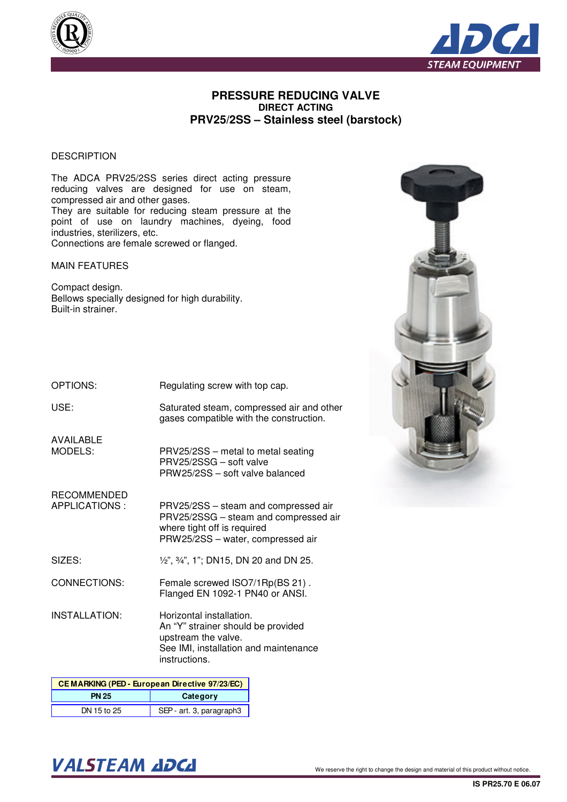



## **PRESSURE REDUCING VALVE DIRECT ACTING PRV25/2SS – Stainless steel (barstock)**

### **DESCRIPTION**

The ADCA PRV25/2SS series direct acting pressure reducing valves are designed for use on steam, compressed air and other gases. They are suitable for reducing steam pressure at the point of use on laundry machines, dyeing, food industries, sterilizers, etc. Connections are female screwed or flanged.

#### MAIN FEATURES

Compact design. Bellows specially designed for high durability. Built-in strainer.

| OPTIONS: | Regulating screw with top cap. |  |
|----------|--------------------------------|--|
|          |                                |  |

USE:

Saturated steam, compressed air and other gases compatible with the construction.

PRV25/2SS – metal to metal seating

PRV25/2SS – steam and compressed air PRV25/2SSG – steam and compressed air

PRW25/2SS – water, compressed air

½", ¾", 1"; DN15, DN 20 and DN 25.

PRW25/2SS – soft valve balanced

PRV25/2SSG – soft valve

where tight off is required

AVAILABLE MODELS:

RECOMMENDED

APPLICATIONS :

SIZES:

CONNECTIONS: Female screwed ISO7/1Rp(BS 21) . Flanged EN 1092-1 PN40 or ANSI.

INSTALLATION: Horizontal installation. An "Y" strainer should be provided upstream the valve. See IMI, installation and maintenance instructions.

| <b>CEMARKING (PED - European Directive 97/23/EC)</b> |                          |  |  |  |  |  |
|------------------------------------------------------|--------------------------|--|--|--|--|--|
| Category<br><b>PN 25</b>                             |                          |  |  |  |  |  |
| DN 15 to 25                                          | SEP - art. 3, paragraph3 |  |  |  |  |  |



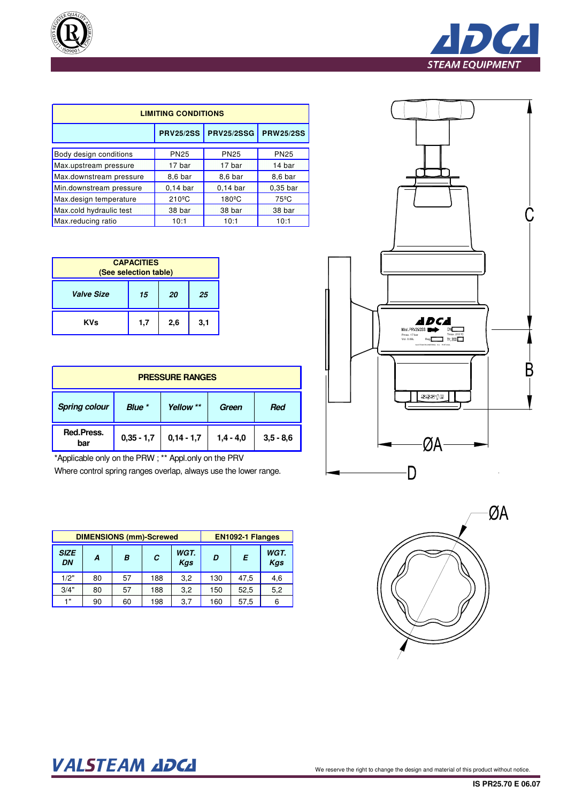



| <b>LIMITING CONDITIONS</b> |                             |                 |                     |  |  |  |  |  |  |
|----------------------------|-----------------------------|-----------------|---------------------|--|--|--|--|--|--|
|                            | <b>PRV25/2SS PRV25/2SSG</b> |                 |                     |  |  |  |  |  |  |
| Body design conditions     | <b>PN25</b>                 | <b>PN25</b>     | <b>PN25</b>         |  |  |  |  |  |  |
| Max.upstream pressure      | 17 bar                      | 17 bar          | 14 bar              |  |  |  |  |  |  |
| Max.downstream pressure    | 8,6 bar                     | 8,6 bar         | 8,6 bar             |  |  |  |  |  |  |
| Min.downstream pressure    | $0,14$ bar                  | $0.14$ bar      | 0.35 <sub>bar</sub> |  |  |  |  |  |  |
| Max.design temperature     | $210^{\circ}$ C             | $180^{\circ}$ C | $75^{\circ}$ C      |  |  |  |  |  |  |
| Max.cold hydraulic test    | 38 bar                      | 38 bar          | 38 bar              |  |  |  |  |  |  |
| Max.reducing ratio         | 10:1                        | 10:1            | 10:1                |  |  |  |  |  |  |

| <b>CAPACITIES</b><br>(See selection table) |     |     |     |  |  |  |  |  |
|--------------------------------------------|-----|-----|-----|--|--|--|--|--|
| <b>Valve Size</b><br>15<br>20<br>25        |     |     |     |  |  |  |  |  |
| <b>KVs</b>                                 | 1,7 | 2,6 | 3,1 |  |  |  |  |  |

| <b>PRESSURE RANGES</b> |              |              |             |             |  |  |  |  |
|------------------------|--------------|--------------|-------------|-------------|--|--|--|--|
| <b>Spring colour</b>   | Blue *       | Yellow **    | Green       | <b>Red</b>  |  |  |  |  |
| Red.Press.<br>bar      | $0,35 - 1,7$ | $0,14 - 1,7$ | $1,4 - 4,0$ | $3,5 - 8,6$ |  |  |  |  |

\*Applicable only on the PRW ; \*\* Appl.only on the PRV

Where control spring ranges overlap, always use the lower range.

| <b>DIMENSIONS (mm)-Screwed</b> |    |    |     |                    |     | EN1092-1 Flanges |     |
|--------------------------------|----|----|-----|--------------------|-----|------------------|-----|
| <b>SIZE</b><br>DN              | A  | B  | C   | WGT.<br><b>Kas</b> | D   | Е                |     |
| 1/2"                           | 80 | 57 | 188 | 3,2                | 130 | 47,5             | 4,6 |
| 3/4"                           | 80 | 57 | 188 | 3.2                | 150 | 52,5             | 5,2 |
| 1"                             | 90 | 60 | 198 | 3,7                | 160 | 57,5             | 6   |





# VALSTEAM ADCA We reserve the right to change the design and material of this product without notice.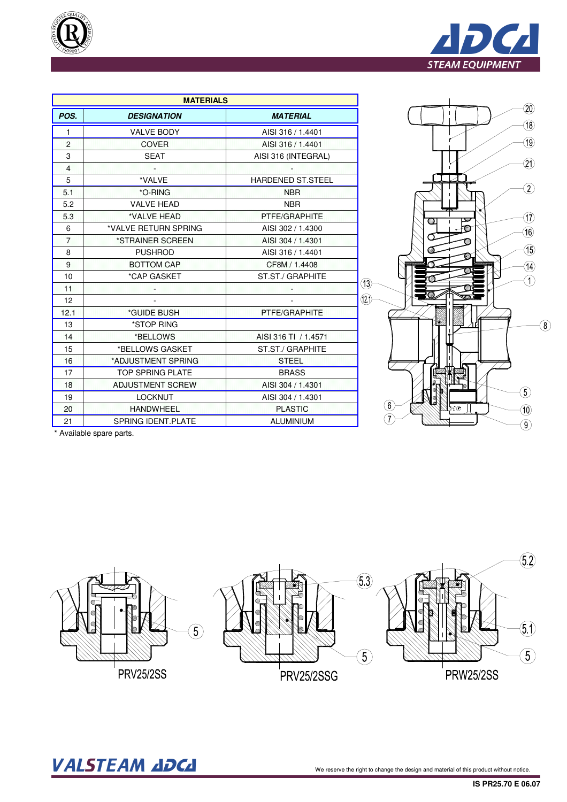



|                | <b>MATERIALS</b>          |                          |
|----------------|---------------------------|--------------------------|
| POS.           | <b>DESIGNATION</b>        | <b>MATERIAL</b>          |
| 1.             | <b>VALVE BODY</b>         | AISI 316 / 1.4401        |
| $\overline{2}$ | <b>COVER</b>              | AISI 316 / 1.4401        |
| 3              | <b>SEAT</b>               | AISI 316 (INTEGRAL)      |
| $\overline{4}$ | æ                         |                          |
| 5              | *VALVE                    | <b>HARDENED ST.STEEL</b> |
| 5.1            | *O-RING                   | <b>NBR</b>               |
| 5.2            | <b>VALVE HEAD</b>         | <b>NBR</b>               |
| 5.3            | *VALVE HEAD               | PTFE/GRAPHITE            |
| 6              | *VALVE RETURN SPRING      | AISI 302 / 1.4300        |
| 7              | *STRAINER SCREEN          | AISI 304 / 1.4301        |
| 8              | <b>PUSHROD</b>            | AISI 316 / 1.4401        |
| 9              | <b>BOTTOM CAP</b>         | CF8M / 1.4408            |
| 10             | *CAP GASKET               | ST.ST./ GRAPHITE         |
| 11             |                           |                          |
| 12             |                           |                          |
| 12.1           | *GUIDE BUSH               | PTFE/GRAPHITE            |
| 13             | *STOP RING                |                          |
| 14             | *BELLOWS                  | AISI 316 TI / 1.4571     |
| 15             | *BELLOWS GASKET           | ST.ST./ GRAPHITE         |
| 16             | *ADJUSTMENT SPRING        | <b>STEEL</b>             |
| 17             | <b>TOP SPRING PLATE</b>   | <b>BRASS</b>             |
| 18             | <b>ADJUSTMENT SCREW</b>   | AISI 304 / 1.4301        |
| 19             | <b>LOCKNUT</b>            | AISI 304 / 1.4301        |
| 20             | <b>HANDWHEEL</b>          | <b>PLASTIC</b>           |
| 21             | <b>SPRING IDENT.PLATE</b> | <b>ALUMINIUM</b>         |

\* Available spare parts.